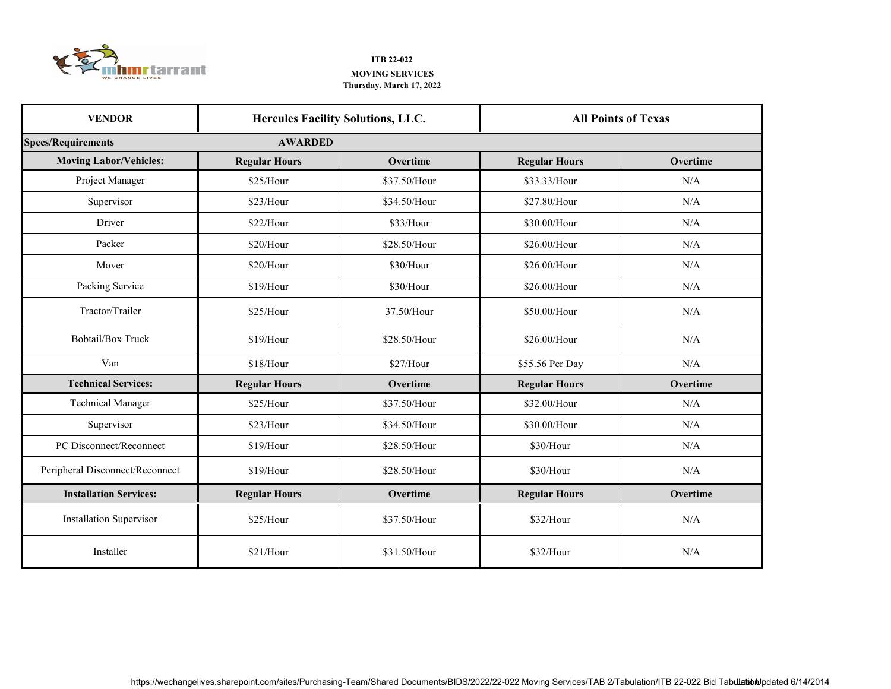

## **ITB 22-022 Thursday, March 17, 2022 MOVING SERVICES**

| <b>VENDOR</b>                   |                      | <b>Hercules Facility Solutions, LLC.</b> |                      | <b>All Points of Texas</b> |
|---------------------------------|----------------------|------------------------------------------|----------------------|----------------------------|
| <b>Specs/Requirements</b>       | <b>AWARDED</b>       |                                          |                      |                            |
| <b>Moving Labor/Vehicles:</b>   | <b>Regular Hours</b> | Overtime                                 | <b>Regular Hours</b> | Overtime                   |
| Project Manager                 | \$25/Hour            | \$37.50/Hour                             | \$33.33/Hour         | N/A                        |
| Supervisor                      | \$23/Hour            | \$34.50/Hour                             | \$27.80/Hour         | N/A                        |
| Driver                          | \$22/Hour            | \$33/Hour                                | \$30.00/Hour         | N/A                        |
| Packer                          | \$20/Hour            | \$28.50/Hour                             | \$26.00/Hour         | N/A                        |
| Mover                           | \$20/Hour            | \$30/Hour                                | \$26.00/Hour         | N/A                        |
| Packing Service                 | \$19/Hour            | \$30/Hour                                | \$26.00/Hour         | N/A                        |
| Tractor/Trailer                 | \$25/Hour            | 37.50/Hour                               | \$50.00/Hour         | N/A                        |
| <b>Bobtail/Box Truck</b>        | \$19/Hour            | \$28.50/Hour                             | \$26.00/Hour         | N/A                        |
| Van                             | \$18/Hour            | \$27/Hour                                | \$55.56 Per Day      | N/A                        |
| <b>Technical Services:</b>      | <b>Regular Hours</b> | Overtime                                 | <b>Regular Hours</b> | Overtime                   |
| <b>Technical Manager</b>        | \$25/Hour            | \$37.50/Hour                             | \$32.00/Hour         | N/A                        |
| Supervisor                      | \$23/Hour            | \$34.50/Hour                             | \$30.00/Hour         | N/A                        |
| PC Disconnect/Reconnect         | \$19/Hour            | \$28.50/Hour                             | \$30/Hour            | N/A                        |
| Peripheral Disconnect/Reconnect | $$19/H$ our          | \$28.50/Hour                             | \$30/Hour            | N/A                        |
| <b>Installation Services:</b>   | <b>Regular Hours</b> | Overtime                                 | <b>Regular Hours</b> | Overtime                   |
| <b>Installation Supervisor</b>  | \$25/Hour            | \$37.50/Hour                             | \$32/Hour            | N/A                        |
| Installer                       | \$21/Hour            | \$31.50/Hour                             | \$32/Hour            | N/A                        |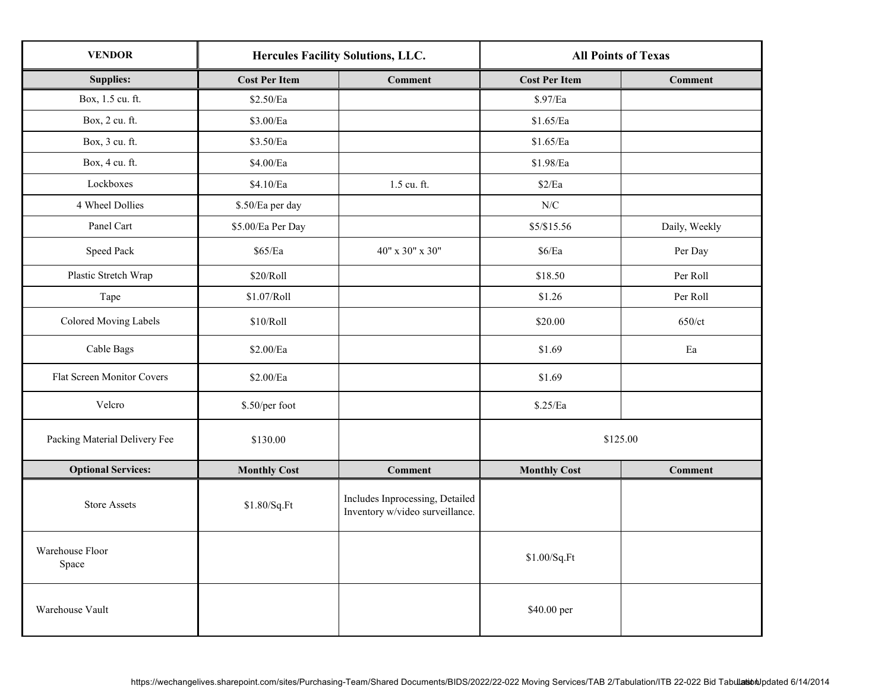| <b>VENDOR</b>                 | <b>Hercules Facility Solutions, LLC.</b> |                                                                    | <b>All Points of Texas</b> |                |
|-------------------------------|------------------------------------------|--------------------------------------------------------------------|----------------------------|----------------|
| <b>Supplies:</b>              | <b>Cost Per Item</b>                     | <b>Comment</b>                                                     | <b>Cost Per Item</b>       | <b>Comment</b> |
| Box, 1.5 cu. ft.              | \$2.50/Ea                                |                                                                    | \$.97/Ea                   |                |
| Box, 2 cu. ft.                | $\$3.00/Ea$                              |                                                                    | \$1.65/Ea                  |                |
| Box, 3 cu. ft.                | \$3.50/Ea                                |                                                                    | \$1.65/Ea                  |                |
| Box, 4 cu. ft.                | $\$4.00/Ea$                              |                                                                    | \$1.98/Ea                  |                |
| Lockboxes                     | \$4.10/Ea                                | 1.5 cu. ft.                                                        | \$2/Ea                     |                |
| 4 Wheel Dollies               | \$.50/Ea per day                         |                                                                    | ${\rm N/C}$                |                |
| Panel Cart                    | \$5.00/Ea Per Day                        |                                                                    | \$5/\$15.56                | Daily, Weekly  |
| Speed Pack                    | \$65/Ea                                  | 40" x 30" x 30"                                                    | \$6/Ea                     | Per Day        |
| Plastic Stretch Wrap          | \$20/Roll                                |                                                                    | \$18.50                    | Per Roll       |
| Tape                          | \$1.07/Roll                              |                                                                    | \$1.26                     | Per Roll       |
| <b>Colored Moving Labels</b>  | \$10/Roll                                |                                                                    | \$20.00                    | 650/ct         |
| Cable Bags                    | \$2.00/Ea                                |                                                                    | \$1.69                     | Ea             |
| Flat Screen Monitor Covers    | $\$2.00/Ea$                              |                                                                    | \$1.69                     |                |
| Velcro                        | \$.50/per foot                           |                                                                    | \$.25/Ea                   |                |
| Packing Material Delivery Fee | \$130.00                                 |                                                                    | \$125.00                   |                |
| <b>Optional Services:</b>     | <b>Monthly Cost</b>                      | <b>Comment</b>                                                     | <b>Monthly Cost</b>        | <b>Comment</b> |
| <b>Store Assets</b>           | \$1.80/Sq.Ft                             | Includes Inprocessing, Detailed<br>Inventory w/video surveillance. |                            |                |
| Warehouse Floor<br>Space      |                                          |                                                                    | \$1.00/Sq.Ft               |                |
| Warehouse Vault               |                                          |                                                                    | \$40.00 per                |                |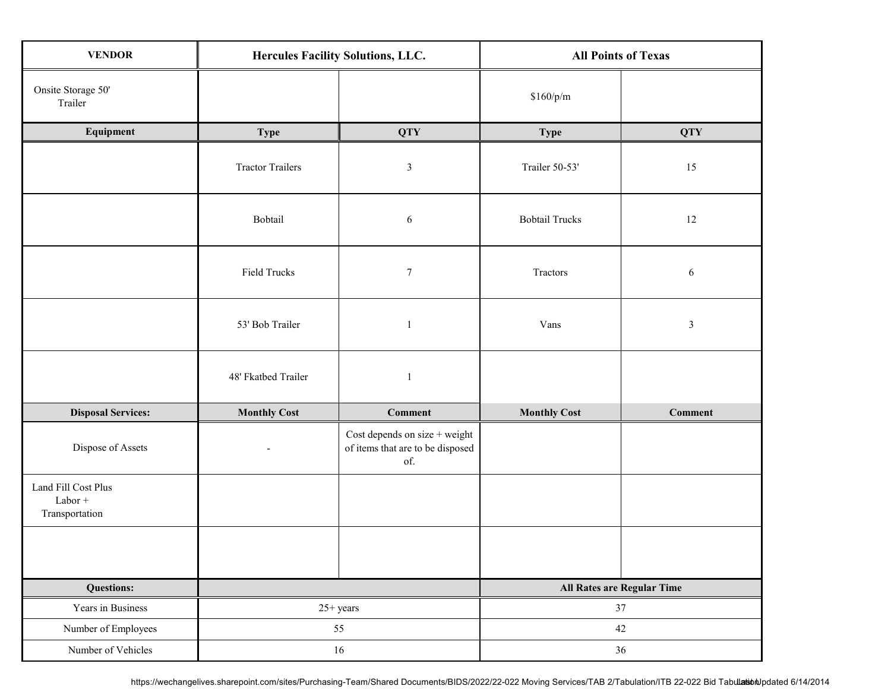| <b>VENDOR</b>                                      | Hercules Facility Solutions, LLC. |                                                                          | <b>All Points of Texas</b> |                            |  |
|----------------------------------------------------|-----------------------------------|--------------------------------------------------------------------------|----------------------------|----------------------------|--|
| Onsite Storage 50'<br>Trailer                      |                                   |                                                                          | \$160/p/m                  |                            |  |
| Equipment                                          | <b>Type</b>                       | <b>QTY</b>                                                               | <b>Type</b>                | <b>QTY</b>                 |  |
|                                                    | <b>Tractor Trailers</b>           | $\mathfrak z$                                                            | Trailer 50-53'             | 15                         |  |
|                                                    | Bobtail                           | $\sqrt{6}$                                                               | <b>Bobtail Trucks</b>      | 12                         |  |
|                                                    | Field Trucks                      | $\tau$                                                                   | Tractors                   | 6                          |  |
|                                                    | 53' Bob Trailer                   | $\mathbf{1}$                                                             | Vans                       | $\mathfrak{Z}$             |  |
|                                                    | 48' Fkatbed Trailer               | $\mathbf{1}$                                                             |                            |                            |  |
| <b>Disposal Services:</b>                          | <b>Monthly Cost</b>               | <b>Comment</b>                                                           | <b>Monthly Cost</b>        | <b>Comment</b>             |  |
| Dispose of Assets                                  | $\blacksquare$                    | Cost depends on size + weight<br>of items that are to be disposed<br>of. |                            |                            |  |
| Land Fill Cost Plus<br>$Labor +$<br>Transportation |                                   |                                                                          |                            |                            |  |
|                                                    |                                   |                                                                          |                            |                            |  |
| <b>Questions:</b>                                  |                                   |                                                                          |                            | All Rates are Regular Time |  |
| Years in Business                                  |                                   | $25+ years$                                                              |                            | 37                         |  |
| Number of Employees                                | 55                                |                                                                          | 42                         |                            |  |
| Number of Vehicles                                 | $16\,$                            |                                                                          | 36                         |                            |  |